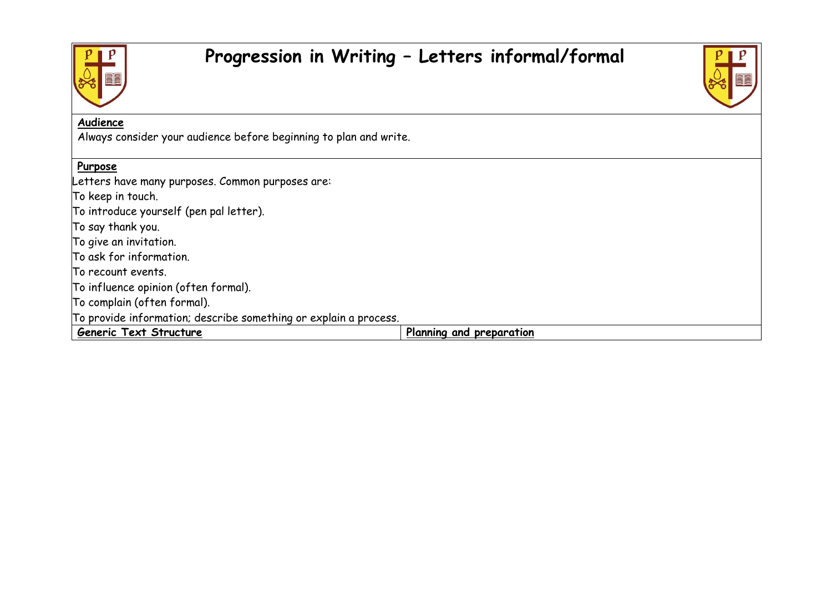

## **Progression in Writing – Letters informal/formal**



| Audience                                                          |                          |
|-------------------------------------------------------------------|--------------------------|
| Always consider your audience before beginning to plan and write. |                          |
|                                                                   |                          |
| Purpose                                                           |                          |
| Letters have many purposes. Common purposes are:                  |                          |
| To keep in touch.                                                 |                          |
| To introduce yourself (pen pal letter).                           |                          |
| To say thank you.                                                 |                          |
| To give an invitation.                                            |                          |
| To ask for information.                                           |                          |
| To recount events.                                                |                          |
| To influence opinion (often formal).                              |                          |
| To complain (often formal).                                       |                          |
| To provide information; describe something or explain a process.  |                          |
| Generic Text Structure                                            | Planning and preparation |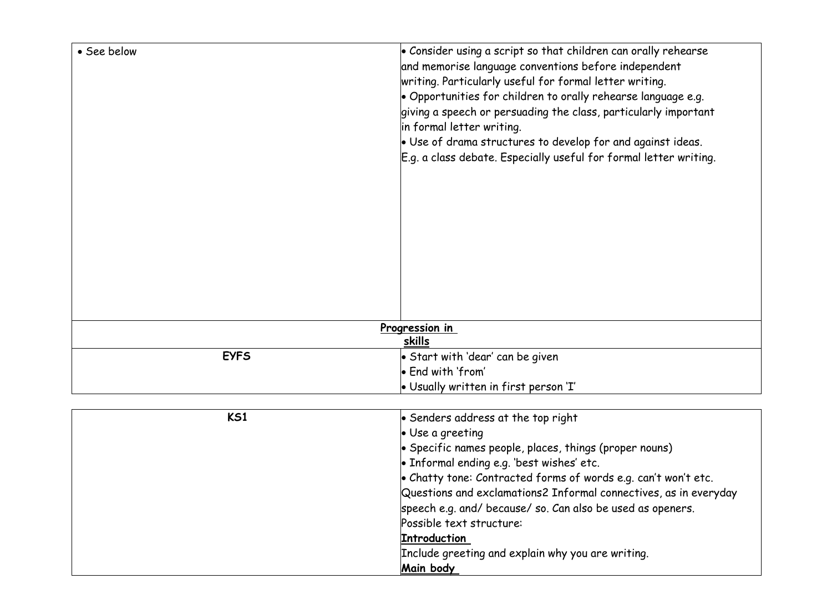| • See below     | $\bullet$ Consider using a script so that children can orally rehearse<br>and memorise language conventions before independent<br>writing. Particularly useful for formal letter writing.<br>$\bullet$ Opportunities for children to orally rehearse language e.g.<br>giving a speech or persuading the class, particularly important<br>in formal letter writing.<br>$\bullet$ Use of drama structures to develop for and against ideas.<br>E.g. a class debate. Especially useful for formal letter writing. |
|-----------------|----------------------------------------------------------------------------------------------------------------------------------------------------------------------------------------------------------------------------------------------------------------------------------------------------------------------------------------------------------------------------------------------------------------------------------------------------------------------------------------------------------------|
| Progression in  |                                                                                                                                                                                                                                                                                                                                                                                                                                                                                                                |
|                 | skills                                                                                                                                                                                                                                                                                                                                                                                                                                                                                                         |
| <b>EYFS</b>     | Start with 'dear' can be given                                                                                                                                                                                                                                                                                                                                                                                                                                                                                 |
|                 | <b>End with 'from'</b>                                                                                                                                                                                                                                                                                                                                                                                                                                                                                         |
|                 | • Usually written in first person 'I'                                                                                                                                                                                                                                                                                                                                                                                                                                                                          |
| K <sub>S1</sub> | Senders address at the top right                                                                                                                                                                                                                                                                                                                                                                                                                                                                               |
|                 | • Use a greeting                                                                                                                                                                                                                                                                                                                                                                                                                                                                                               |
|                 | • Specific names people, places, things (proper nouns)                                                                                                                                                                                                                                                                                                                                                                                                                                                         |
|                 | · Informal ending e.g. 'best wishes' etc.                                                                                                                                                                                                                                                                                                                                                                                                                                                                      |
|                 | $\bullet$ Chatty tone: Contracted forms of words e.g. can't won't etc.                                                                                                                                                                                                                                                                                                                                                                                                                                         |
|                 | Questions and exclamations2 Informal connectives, as in everyday                                                                                                                                                                                                                                                                                                                                                                                                                                               |
|                 | speech e.g. and/ because/ so. Can also be used as openers.                                                                                                                                                                                                                                                                                                                                                                                                                                                     |
|                 | Possible text structure:                                                                                                                                                                                                                                                                                                                                                                                                                                                                                       |
|                 | <b>Introduction</b>                                                                                                                                                                                                                                                                                                                                                                                                                                                                                            |

**Main body** 

Include greeting and explain why you are writing.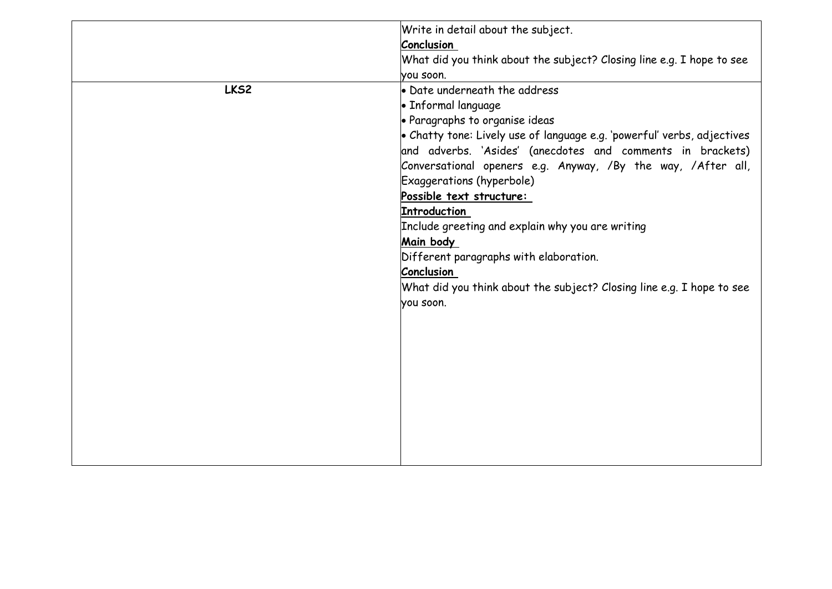|      | Write in detail about the subject.                                              |
|------|---------------------------------------------------------------------------------|
|      | Conclusion                                                                      |
|      | What did you think about the subject? Closing line e.g. I hope to see           |
|      | you soon.                                                                       |
| LKS2 | • Date underneath the address                                                   |
|      | · Informal language                                                             |
|      | · Paragraphs to organise ideas                                                  |
|      | $\bullet$ Chatty tone: Lively use of language e.g. 'powerful' verbs, adjectives |
|      | and adverbs. 'Asides' (anecdotes and comments in brackets)                      |
|      | Conversational openers e.g. Anyway, /By the way, /After all,                    |
|      | Exaggerations (hyperbole)                                                       |
|      | Possible text structure:                                                        |
|      | <b>Introduction</b>                                                             |
|      | Include greeting and explain why you are writing                                |
|      | Main body                                                                       |
|      | Different paragraphs with elaboration.                                          |
|      | <b>Conclusion</b>                                                               |
|      | What did you think about the subject? Closing line e.g. I hope to see           |
|      | you soon.                                                                       |
|      |                                                                                 |
|      |                                                                                 |
|      |                                                                                 |
|      |                                                                                 |
|      |                                                                                 |
|      |                                                                                 |
|      |                                                                                 |
|      |                                                                                 |
|      |                                                                                 |
|      |                                                                                 |